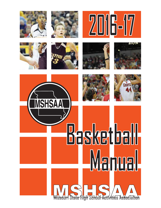













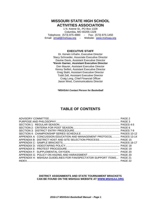### **MISSOURI STATE HIGH SCHOOL ACTIVITIES ASSOCIATION**

1 N. Keene St., PO Box 1328 Columbia, MO 65205-1328 Telephone: (573) 875-4880 - Fax: (573) 875-1450 Email: [email@mshsaa.org](mailto:email@mshsaa.org) - Website: [www.mshsaa.org](http://www.mshsaa.org/)

### **EXECUTIVE STAFF**

Dr. Kerwin Urhahn, Executive Director Stacy Schroeder, Associate Executive Director Davine Davis, Assistant Executive Director **\*Kevin Garner, Assistant Executive Director** Don Maurer, Assistant Executive Director Kenny Seifert, Assistant Executive Director Greg Stahl, Assistant Executive Director Todd Zell, Assistant Executive Director Craig Long, Chief Financial Officer Jason West, Communications Director

*\*MSHSAA Contact Person for Basketball*

## **TABLE OF CONTENTS**

| APPENDIX A: CONCUSSION EDUCATION AND MANAGEMENT PROTOCOL PAGES 13-14  |  |
|-----------------------------------------------------------------------|--|
| APPENDIX B: DISTRICT HOST AND SITE SELECTION PROCESS PAGE 15          |  |
|                                                                       |  |
|                                                                       |  |
|                                                                       |  |
|                                                                       |  |
|                                                                       |  |
| APPENDIX H: MSHSAA GUIDELINES FOR FAN/SPECTATOR SUPPORT ITEMS PAGE 21 |  |
|                                                                       |  |

#### **DISTRICT ASSIGNMENTS AND STATE TOURNAMENT BRACKETS CAN BE FOUND ON THE MSHSAA WEBSITE AT [WWW.MSHSAA.ORG](http://www.mshsaa.org/)**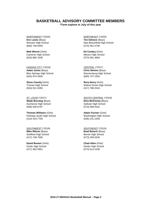### **BASKETBALL ADVISORY COMMITTEE MEMBERS**

**\*Term expires in July of this year**

NORTHWEST (\*2020) **Eric Lewis** (Boys) Winston High School (660) 749-5456

**Matt Wenck** (Girls) Cameron High School (816) 882-1036

KANSAS CITY (\*2018) **Adam Jones** (Boys) Blue Springs High School (816) 874-3400

**Steve Cassity** (Girls) Truman High School (816) 521-5350

ST. LOUIS (\*2017) **Wade Bouslog** (Boys) Duchesne High School (636) 946-6767

**Thomas Williams** (Girls) Parkway South High School (314) 415-7700

SOUTHWEST (\*2019) **Mike Wilson** (Boys) Strafford High School (417) 736-7000

**David Brewer** (Girls) Ozark High School (417) 582-5901

NORTHEAST (\*2020) **Tim Gilmore** (Boys) New Bloomfield High School (573) 491-3700

**Ed Costley** (Girls) Mexico High School (573) 581-4664

CENTRAL (\*2017) **Chris Nimmo** (Boys) Warrensburg High School (660) 747-2262

**Rory Henry** (Girls) Walnut Grove High School (417) 788-2543

SOUTH CENTRAL (\*2018) **Dino McKinney** (Boys) Sullivan High School (573) 468-5181

**Adam Fischer** (Girls) Washington High School (636) 231-2200

SOUTHEAST (\*2019) **Brad Botsch** (Boys) Bernie High School (573) 293-5334

**Chad Allen** (Girls) Dexter High School (573) 614-1030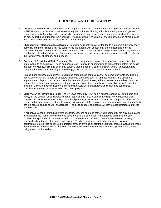## **PURPOSE AND PHILOSOPHY**

- A. **Purpose of Manual**: This manual has been prepared to provide a better understanding of the administration of MSHSAA sponsored events. It will serve as a guide to the participating schools and will provide for greater consistency. All information will be included in this manual except such supplementary or incidental information as may be included in the MSHSAA Journal. The regulations in this manual shall be considered official unless the schools are notified in a Special Bulletin of any changes.
- B. **Philosophy of Interscholastic Activities**: Interscholastic activities are intended to supplement the secondary curricular program. These activities can provide the student with educational experiences and learning outcomes that contribute toward the development of good citizenship. This can be accomplished only when the emphasis is placed upon teaching "through school activities." Interscholastic activities can be justified only when this is its primary philosophy and purpose.
- C. **Purpose of District and State Contests**: There are two primary purposes that justify and cause district and state events to be desirable. Those purposes are (1) to provide opportunities to demonstrate before the public the best knowledge, skills and emotional patterns taught through a particular sport, and (2) to evaluate and compare the best of this teaching of knowledge, skills and emotional patterns among schools.

Unless these purposes are primary, district and state athletic contests cannot be completely justified. It is the desire of the MSHSAA Board of Directors that these events be both fun and educational. It is extremely important that players, coaches and the school community make every effort to enhance – and keep in proper perspective – the educational values of these events. Competition merely for "competition's sake" cannot be justified. Only when competition contributes toward worthwhile educational goals can it be considered sufficiently important to be included in the school program.

D. **Supervision of Players and Fans**: The By-Laws of the MSHSAA hold a school responsible, both home and away, for the conduct of its players, students, coaches and fans. Coaches are required to supervise their players. A coach's respect for others and school property is necessary in order to instill in players a respect for others and school property. Students staying overnight in hotels or motels in conjunction with any interscholastic athletic contest should be well-chaperoned. The good conduct of students will leave a good impression for the entire school.

A school also should inform its players, students, coaches and fans of the value game officials play in education through athletics. When informing these people of this, the difference in the purpose of high school and professional sports should be emphasized. Lack of respect for officials should not be tolerated. Booing of officials leads to booing of coaches and players. This has no place in high school athletics. Athletic administrators are urged to develop a program through any and all communication techniques available to insure that spectators understand that high school athletics are an educational endeavor as opposed to the games being an end in themselves.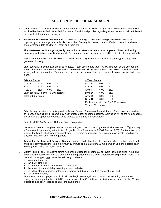## **SECTION 1: REGULAR SEASON**

- A. **Game Rules**: The current National Federation Basketball Rules Book shall govern all competition except where modified by the MSHSAA. MSHSAA By-Law 3.18 and Board policies regarding all tournaments shall be followed by basketball tournament managers.
- B. **Basketball Pre-Season Scrimmage**: To allow Missouri high school boys and girls basketball teams an opportunity to scrimmage other schools prior to their first regular season contest. Each school will be allowed one scrimmage date at either a 3-team or 4-team site.

**The pre-season scrimmage may only be conducted after your team has completed nine conditioning practices and before your first contest**. Recommend to use different sites or different dates for boy and girls.

These scrimmage sessions will allow: 1) officials training; 2) player evaluations in a game-type setting; and 3) game conditioning.

Each school will play a maximum of 36 minutes. Team scoring and team fouls will be kept on the scoreboard, and will be cleared after each 6:00 session. Personal fouls will not accumulate or be tallied. Individual player scoring will not be recorded. Two time-outs per team per session; this will allow teaching and instruction to take place.

| 3-Team Format                              |      |      |      | 4-Team Format                              |      |      |  |  |
|--------------------------------------------|------|------|------|--------------------------------------------|------|------|--|--|
| A vs. B                                    | 6:00 | 6:00 | 6:00 | A vs. B                                    | 6:00 | 6:00 |  |  |
| B vs. C                                    | 6:00 | 6:00 | 6:00 | C vs. D                                    | 6:00 | 6:00 |  |  |
| A vs. C                                    | 6:00 | 6:00 | 6:00 | A vs. C                                    | 6:00 | 6:00 |  |  |
| Each school will play $6 - 6:00$ sessions; |      |      |      | B vs. D                                    | 6:00 | 6:00 |  |  |
| Total of 36 minutes.                       |      |      |      | A vs. D                                    | 6:00 | 6:00 |  |  |
|                                            |      |      |      | B vs. C                                    | 6:00 | 6:00 |  |  |
|                                            |      |      |      | Each school will play $6 - 6:00$ sessions; |      |      |  |  |
|                                            |      |      |      | Total of 36 minutes.                       |      |      |  |  |

Schools may not attend or participate in a 2-team format. There must be a minimum of 3 schools or a maximum of 4 schools participating. Teams may wear practice gear or game uniforms. Admission will be the host school's choice with the option for revenues to be donated to charitable organizations.

Refer to MSHSAA By-Law 3.16.6 and Board Policy #24.

- C. **Duration of Game**: Length of quarters for junior high school basketball games shall not exceed: 7<sup>th</sup> grade only – 6 minutes;  $8<sup>th</sup>$  grade only – 6 minutes;  $9<sup>th</sup>$  grade only – 7 minutes (MSHSAA By-Law 3.28). For teams of mixed grades, the limit for the lower grade shall apply. Overtime periods shall be two minutes in length for all games played in less than eight minute quarters.
- D. **Timing for Half-time and Between Games**: Schools shall follow the rule book procedures for half-time length and it is recommended there be a minimum 12 minute and a maximum 15 minute warm-up period before each varsity game during the regular season.
- E. **Mercy Timing Rule**: The game timing rule shall be used for all games at all levels (boys and girls). A running clock shall be used when after the end of the third quarter there is a point differential of 30 points or more. The clock will be stopped only under the following conditions:
	- 1. a charged time-out;
	- 2. an injury time-out;
	- 3. to confer with scorers and timers, if necessary;
	- 4. because of unusual delay in getting a dead ball alive;
	- 5. to administer all technical, intentional, flagrant and disqualifying fifth personal fouls; and
	- 6. for any emergency.

After these clock stoppages, the clock will then begin to run again with normal play resuming procedures. If during the fourth quarter the point differential drops below 30 points, normal timing will resume until the 30 point differential has been reached again or the game ends.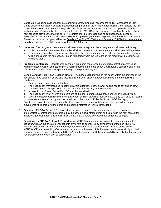- F. **Game Ball**: All game balls used for interscholastic competition shall possess the NFHS Authenticating Mark. Game officials shall inspect all balls provided for competition for the NFHS Authenticating Mark. Should the host school be unable to provide conforming balls, the official will put into play conforming balls provided by the visiting school. Contest officials are required to notify the MSHSAA office in writing regarding the failure of any host school to provide the marked balls. No contest shall be cancelled and no contest penalties shall be assessed for nonconforming balls. The MSHSAA will provide game balls beginning with the district tournament. The official ball used this year will be the Spalding Top-Flite TF1000 Legacy Basketball 74-7169 for boys and the Spalding Top-Flite TF1000 Legacy Basketball 74-7359 for girls.
- G. **Uniforms**: The designated home team shall wear white jerseys and the visiting team shall wear dark jerseys.
	- In district play the top team on the bracket shall be considered the home team and shall wear white jerseys. • In sectional, quarterfinal, semifinal, and final play, the bottom team on the bracket in even-numbered years will be considered the home team. In odd-numbered years the top team on the bracket will be considered the home team.
- H. **Pre-Game Conference**: Officials shall conduct a pre-game conference before each contest at center court which the head coach of both teams (not a representative of the head coach), each team's captains, and all the officials much attend to discuss sportsmanship, game procedures, etc.
- I. **Bench Conduct Rule** (Head Coaches' Boxes): The head coach may be off the bench within the confines of the designated head coaches' box to give instructions to his/her players and/or substitutes under the following conditions:
	- 1. Only the head coach may use the box.
	- 2. The head coach may stand up to get the players' attention, tell them what he/she has to say and sit down. The head coach is not permitted to stand or kneel continuously to observe play.
	- 3. All violations of Rules 10-4 and/or 10-5 shall be penalized.
	- 4. The head coach must sit within the confines of the box in order to have these special privileges by rule.
	- 5. Should the head coach receive either an indirect or direct technical foul (10-3-2, 10-3-5, 10-4 or 10-5) he/she must remain seated throughout the remainder of the contest. Rules 10-5-1 or 10-5-2 then apply.

Coaches are to abide by the rule and officials are to enforce it when violations are observed within normal movements while officiating the game and reporting information to the scorer's table.

- J. **Ejection**: MSHSAA By-Law 5.5 requires that any player, coach, or bench personnel ejected from an interscholastic contest shall be prohibited by the school administration from participating in the next contest for that level. Ejection under Basketball Rules 10-2, 10-3, 10-4, and 10-5 would fall under this category.
- K. **Sanctions – MSHSAA By-Law 3.18**: Anytime an MSHSAA member school competes in a tournament by definition, with an out-of-state school(s) or in any event co-sponsored by any party other than an MSHSAA member school (e.g. university, theme park, shoe company, etc.), a sanction form must be on file in the MSHSAA Office at least thirty (30) calendar days prior to the event. It is the event host's responsibility to obtain sanction; however, each participating MSHSAA member school shall take responsibility to verify that the sponsor has sanctioned the event prior to participation.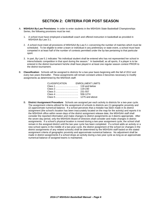## **SECTION 2: CRITERIA FOR POST SEASON**

- A. **MSHSAA By-Law Provisions**: In order to enter students in the MSHSAA State Basketball Championships Series, the following provisions must be met:
	- 1. A school must have employed a basketball coach and offered instruction in basketball as provided in MSHSAA By-Law 3.1.
	- 2. A school must meet all provisions of MSHSAA By-Law 5.1 concerning the number of matches which must be scheduled. To be eligible to enter a team or individual in any preliminary or state event, a school must have competed in at least half of the number of contests permitted under the by-law pertaining to that particular sport.
	- 3. In part, By-Law 5.1 indicates "No individual student shall be entered who has not represented her school in interscholastic competition in that sport during the season." In basketball, as all sports, if a player is to be entered in the district tournament he/she shall have played in at least one regular season contest PRIOR to the district tournament.
- B. **Classification**: Schools will be assigned to districts for a two-year basis beginning with the fall of 2012 and every two years thereafter. These assignments will remain constant unless it becomes necessary to modify assignments as determined by the MSHSAA staff.

| <b>CLASSIFICATION</b> | <b>ENROLLMENT LIMITS</b> |
|-----------------------|--------------------------|
|                       |                          |
|                       |                          |
|                       |                          |
|                       |                          |
|                       |                          |

B. **District Assignment Procedure**: Schools are assigned per each activity to districts for a two-year cycle. The assignment criteria utilized for the assignment of schools to districts are (1) geographic proximity and (2) approximate numerical balance. If a school perceives that a mistake has been made in its district assignment (the school's location has been inaccurately located on the map for the activity) and reports it to the MSHSAA office within seven days of the district assignment release date, the MSHSAA staff shall consider the reported information and make changes to district assignments as it deems appropriate. After the seven day period, only the MSHSAA Board of Directors shall consider and make changes in district assignments. If a school's physical location is moved during a two-year assignment cycle, the school shall remain in the assigned district until the two year cycle has been completed. If a school adds an activity or a new school opens in the middle of a two-year cycle, the district assignment of the school (or changes in the district assignments of any related schools) shall be determined by the MSHSAA staff based on the stated assignment criteria of geographic proximity and approximate numerical balance. No adjustment shall be made in district assignments if a school drops an activity during a two-year cycle as long as an approximate numerical balance of assigned teams is maintained.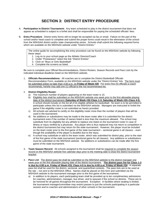## **SECTION 3: DISTRICT ENTRY PROCEDURE**

- A. **Participation in District Tournament:** Any team scheduled to play in the district tournament that does not appear as scheduled is subject to a forfeit and shall be responsible for paying the scheduled officials' fees.
- B. **Entry Procedure**: District entry forms will no longer be accepted via fax or email. Failure on the part of the school and/or head coach to complete and submit the proper forms could result in the elimination of the school from the MSHSAA district and/or state championship series. Schools shall submit the following required forms which are available on the MSHSAA website under "District Entries."

The online guide for accomplishing this entry procedure can be found on the MSHSAA website by following these steps:

- 1. Log on to your school page as the Athletic Director/Coach
- 2. Under "Postseason" select the link "District Entries"
- 3. Click on "Boys or Girls Basketball"
- 4. Complete the screens as listed.

Be sure to complete your Official Recommendations, District Rosters, Season Records and Pass Lists by the indicated individual deadlines listed on the MSHSAA website.

1. **Officials Recommendations:** All coaches are to complete the District Basketball Officials Recommendation Form, available on the MSHSAA website under the "District Entries" link. The form must be submitted online no later than 4:00 p.m. on **Friday of Week #29**. For every five (5) officials a coach recommends, he/she may add one (1) official to the not recommended list.

#### 2. **District Eligibility Roster**:

- a) The maximum number of players appearing on the team roster is 15.
- b) Eligibility lists shall be submitted on the MSHSAA website one week prior to the first allowable playing date of the district tournament (**Saturday of Week #32-Class 1-3; Saturday of Week #33–Class 4-5**). A school should include on the list all of its eligible athletes for basketball. No team is to be permitted to participate unless this list is submitted via the MSHSAA website. Managers are instructed to forfeit the game if the eligibility roster is not submitted as herein provided.
- c) All schools are advised to certify on the eligibility roster more than the number of players that will be used in the tournament.
- d) No additions or substitutions may be made to the team roster after it is submitted for the district tournament even if the number of names listed is less than the maximum allowed. The school may substitute from its eligibility list any athlete to replace one listed on the tournament roster in case of illness or injury verified by a physician. Any player who is thus replaced may not return to competition in the district tournament but may return for the state tournament. However, the player must be included on the team roster prior to the first game of the state tournament – sectional game in all classes – even though the availability of the player is doubtful due to the injury.
- e) A school may substitute or add to the team roster, which was submitted for district play, prior to the start of the first game of the state tournament (sectional game for all classes). Any additions or substitutions must be submitted on the MSHSAA website. No additions or substitutions can be made after the first game of the state tournament.
- 3. **Team Season Record**: All schools assigned to the tournament shall be required to complete the season record on the MSHSAA website five calendar days prior to the meeting date to draw the district tournament bracket.
- 4. **Pass List**: The district pass list shall be submitted on the MSHSAA website to the district manager one week prior to the first allowable playing date of the district tournament . **The district pass list for Class 1-3 is due by 4:00 p.m. Friday of Week #33; Class 4-5 is due by 4:00 p.m. Friday of Week #34**. A separate pass list shall be used for the district, sectional, and quarterfinal contests. The pass lists are to be used at the site – not sent to the MSHSAA Office. Names shall be placed on this form and submitted via the MSHSAA website to the tournament manager prior to the first game of the tournament.
	- a) In addition to its players, each participating team shall be provided up to ten complimentary admissions for coaches, administrators, manager, bus driver, and to spouses if the school so desires. These are to be honored for all games throughout the tournament. Exception: In facilities where seating is limited, the tournament manager/committee may restrict passes to just the schools participating in a particular session and to coaches and administrators of other schools in the tournament.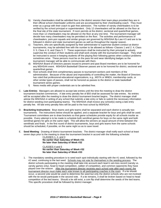- b) Varsity cheerleaders shall be admitted free to the district session their team plays provided they are in their official school cheerleader uniforms and are accompanied by their cheerleading coach. They must enter as a group with their coach to gain free admission. The number of varsity cheerleaders is to be verified by the school principal or superintendent. Only 12 cheerleaders will be allowed on the floor at the final site of the state tournament. If room permits at the district, sectional and quarterfinal games, more than 12 cheerleaders may be allowed on the floor at any one time. The tournament manager will decide how many cheerleaders may be permitted on the floor. The activities and performances of cheerleaders, pom-pon squads and similar groups are governed by MSHSAA By-Law 4.5 and are to be followed in district and state tournament games as well as throughout the regular season.
- c) Teachers, who are specifically assigned by their administrator to supervise student conduct at district tournaments, may be admitted free with the number to be allowed as follows--Classes 1 and 2: 4; Class 3: 5; Class 4: 6; and Class 5: 7. These supervisors shall be instructed by their principal to actively supervise the conduct of their students and shall work closely with the tournament manager. They shall be instructed to assist in keeping students off the playing floor following games when conduct problems sometimes arise. These persons must be on the pass list and wear identifying badges so the tournament manager will be able to communicate with them.
- d) MSHSAA Board of Directors passes issued to present and past Board members are to be honored for any MSHSAA event. MSHSAA Basketball Observer passes are to be honored for district, sectional and quarterfinal games.
- e) Host schools shall limit complimentary passes to tournament workers and members of the administration. Because of the abuse and impossibility of controlling the matter, the Board of Directors has ruled that professional educational organizations, e.g., MSTA or MNEA, membership cards, or other similar types of passes, shall not be honored as passes to the district or state basketball tournament series games.
- f) News media with proper credentials are to be admitted free.
- C. **Late Entries**: Managers are allowed to accept late entries until the time the meeting to draw the district tournament bracket commences. A late entry penalty fee of \$50 shall be assessed for late entries. No entries will be accepted after the meeting to draw the district tournament bracket begins. The district manager shall advise the MSHSAA in writing of any school that submits a late entry or fails to submit the necessary information for district seeding (non-participating teams). The MSHSAA shall invoice any school(s) owing a late entry penalty fee. All late entry penalty fees will be paid to the host school by MSHSAA.
- D. **Bracketing Instructions**: Boys teams and girls teams shall be separated and each district is actually two tournaments. The instructions below should be applied, and a separate bracket for boys and girls shall be used. Tournament committees are to draw brackets so that game schedules provide equity for all schools insofar as possible. Every attempt is to be made to schedule both semifinal games for boys on the same night and both semifinal games for girls on the same night. This will allow the winners an equal amount of time between the semifinals and finals. In the first round of district tournaments, boys and girls teams from the same schools should be scheduled, if possible, on the same night so as to save travel.
- E. **Seed Meeting**: Drawing of district tournament brackets: The district manager shall notify each school at least seven days prior to the meeting to draw the tournament bracket in accord with the following schedule:

CLASSES  $1, 2,$  and  $3$ **No earlier than Saturday of Week #31 No later than Saturday of Week #32**

CLASSES 4 and 5 **No earlier than Saturday of Week #32 No later than Saturday of Week #33**

1. The mandatory seeding procedure is to seed each spot individually starting with the #1 seed, followed by the #2 seed, continuing to the last seed. Schools may not vote for themselves in the seeding process. The district schools participating in the meeting shall take into account each team's win-loss record (varsity vs. varsity games only), head to head competition, caliber of competition, and common opponents they have played over the season. After the tournament director receives each school vote after each round, the tournament director must make each vote known to all participating coaches in the room. If a tie should occur, a second vote would be used to determine the seed but only the district schools who are not involved with the tie would participate in the second vote. If a tie remains, it shall be broken based on head to head competition of the tied teams. Should a tie still exist, a coin flip shall determine the seeds of the tied teams. This specific procedure shall be followed by district manager.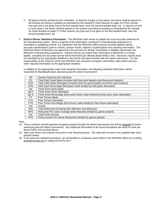- 2. All teams shall be seeded by the committee. In districts of eight or less teams, the teams shall be placed on the bracket according to seeding as illustrated by the Sample 8-Team Bracket on page 16 of this manual. Any byes are to be given first to the first-seeded team, then the second-seeded team, etc. In districts of nine or more teams, the teams shall be placed on the bracket according to seeding as illustrated by the Sample 16-Team Bracket on page 17 of this manual; any byes are to be given to the first-seeded team, then the second-seeded team, etc.
- F. **District Winner Statistical Information**: The MSHSAA staff strives to publish the most accurate materials for all Championship events. Since a majority of the information contained in Championship publications is submitted by qualifying schools, it is imperative that the MSHSAA office receive correctly-spelled names, accurate classifications (year in school), season results, statistics of participants and coaching information. The MSHSAA Board of Directors has approved a fine process for all late, incomplete or illegible submissions for MSHSAA Championship publications. Schools that do not submit their information to MSHSAA in a timely, legible, complete and accurate manner will be fined \$25 per offense (Board Policy #18). Electronic reports must be submitted by the appropriate deadline in the format and style included with the report instructions. It is the responsibility of the school to verify that MSHSAA has received its program information, team photo and any other required information by the appropriate deadline.

In addition to the appropriate roster and schedule information, the following statistical information will be requested for Basketball teams advancing past the district tournament:

| GP.        | Games Played by the Individual                                                         |
|------------|----------------------------------------------------------------------------------------|
| FG         | Total Field Goals Made (includes both two-point baskets and three-point baskets)       |
| <b>FGA</b> | Total Field Goals Attempted (includes both two-point baskets and three-point baskets)  |
| FG%        | Field Goal Percentage (field goals made divided by field goals attempted)              |
| 3pt        | <b>Three-Point Shots Made</b>                                                          |
| 3pt A      | <b>Three-Point Shots Attempted</b>                                                     |
| 3pt%       | Three-Point Percentage (three-point shots made divided by three-point shots attempted) |
| FT.        | Free Throws Made                                                                       |
| <b>FTA</b> | Free Throws Attempted                                                                  |
| FT%        | Free Throw Percentage (free throws made divided by free throws attempted)              |
| Ast        | <b>Assists</b>                                                                         |
| Reb        | Total Rebounds (including both offensive and defensive)                                |
| <b>RPG</b> | Rebounds Per Game Average (total rebounds divided by games played)                     |
| <b>Pts</b> | <b>Total Points Scored</b>                                                             |
| <b>PPG</b> | Points Scored Per Game (total points divided by games played)                          |

Note:

- (1) These numbers should represent all games played through the district tournament and will be required for teams advancing past the district tournament. Any statistical information to be found incomplete will result in a fine per Board Policy #18 as listed above.
- (2) Stats only need to be entered once prior to the Sectional game. The stats will not need to be updated after each playoff contest.
- (3) If you have any statistical questions, do not hesitate in contacting Jason West in the MSHSAA office by e-mailing [jason@mshsaa.org](mailto:jason@mshsaa.org) or calling (573) 875-1077.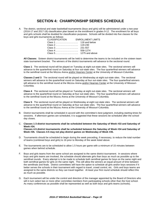## **SECTION 4: CHAMPIONSHIP SERIES SCHEDULE**

A. The district, sectional and state basketball tournaments (boys and girls) will be administered under a two-year (2016-17 and 2017-18) classification plan based on the enrollment in grades 9-12. The enrollment for all boys and girls schools shall be doubled for classification purposes. Schools will be divided into five classes for the boys and girls tournaments as follows:

| <b>CLASSIFICATION</b> | <b>ENROLLMENT LIMITS</b> |
|-----------------------|--------------------------|
|                       |                          |
|                       |                          |
|                       |                          |
| $Class 4 \dots 1$     | 558-1274                 |
|                       |                          |

**All Classes**: Sixteen district tournaments will be held to determine the teams to be included on the sixteen team state tournament bracket. The winners of the district tournaments will advance to the sectional round.

**Class 1**: The sectional round will be played on Tuesday at eight out-state sites. The sectional winners will advance to the quarterfinal round on Saturday at four out-state sites. The four quarterfinal winners will advance to the semifinal round at the Mizzou Arena and/or Hearnes Center at the University of Missouri-Columbia.

**Classes 2 and 3**: The sectional round will be played on Wednesday at eight out-state sites. The sectional winners will advance to the quarterfinal round on Saturday at four out-state sites. The four quarterfinal winners will advance to the semifinal round at the Mizzou Arena and/or Hearnes Center at the University of Missouri-Columbia.

**Class 4**: The sectional round will be played on Tuesday at eight out-state sites. The sectional winners will advance to the quarterfinal round on Saturday at four out-state sites. The four quarterfinal winners will advance to the semifinal round at the Mizzou Arena at the University of Missouri-Columbia.

**Class 5**: The sectional round will be played on Wednesday at eight out-state sites. The sectional winners will advance to the quarterfinal round on Saturday at four out-state sites. The four quarterfinal winners will advance to the semifinal round at the Mizzou Arena at the University of Missouri-Columbia.

- B. District tournaments shall be scheduled in accord with the committee's best judgment, including starting times for sessions. If afternoon games are scheduled, it is suggested that these sessions be scheduled after the school day closes.
- C. **Classes 1-3 district tournaments shall be scheduled between the Saturday of Week #33 and Saturday of Week #34. Classes 4-5 district tournaments shall be scheduled between the Saturday of Week #34 and Saturday of Week #35. Classes 4-5 may not play district games on Wednesday of Week #35.**
- D. Tournaments should be scheduled to begin during the week preceding, if necessary, to reduce the total number of teams (combined boys and girls) to 16 prior to Monday of the week listed above.
- E. The tournaments are to be scheduled to allow 1.5 hours per game with a minimum of 15 minutes between games when behind schedule.
- F. Boys and girls teams from the same school are assigned to the same district tournament. In sessions where boys and girls teams are involved, the schedule should alternate girls than boys as much as possible up to the semifinal rounds. Every attempt is to be made to schedule both semifinal games for boys on the same night and both semifinal games for girls on the same night. This will allow the winners an equal amount of time between the semifinals and finals. District committees still have the option to schedule all girls and/or boys sessions if it better serves the schools in their tournament with regard to travel, crowd control, etc. Girls and boys teams are assigned to the same districts so they can travel together. At least your first round schedule should reflect this as much as possible.
- G. Each tournament will be under the control and direction of the manager appointed by the Board of Directors who will in turn select two or more other committee members from participating schools other than the host school. As many conferences as possible shall be represented as well as both boys and girls teams (schools).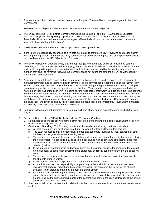- H. Tournaments will be conducted on the single elimination plan. There will be no third-place game in the district tournaments.
- I. No more than 15 players may be in uniform for district and state basketball games.
- J. The official game ball for all district tournaments will be the Spalding Top-Flite TF1000 Legacy Basketball 74-7169 for boys and the Spalding Top-Flite TF1000 Legacy Basketball 74-7359 for girls**.** One of each of these balls will be provided to the district managers. (These balls will also be used in the state tournament, from district rounds through the finals.)
- K. MSHSAA Guidelines for Fan/Spectator Support Items: See Appendix H.
- L. It shall be the responsibility of schools to eliminate such athletic pranks or activity involving destruction and/or theft of game equipment and materials. Any such acts shall be considered gross acts of unsporting conduct to be considered under the MSHSAA Athletic By-Laws.
- M. The following Board of Directors policy shall be applied: (1) Nets are not to be cut or removed as part of a ceremony; (2) If the nets are desired as a trophy, the administrator of the host school should be asked for them and should be paid the price of a new set of nets; and (3) If nets are secured by the winning school in this manner, they shall be removed following the tournament and not during the time the act will be witnessed by student and adult spectators.
- N. Assignment of each team's bench and pre-game warm-up basket is to be predetermined by the tournament manager/committee and all teams notified in advance. The recommended procedure is to let the "home" team for each game sit on the bench which the host school utilizes during the regular season and conduct their pregame warm-up at the basket at the opposite end of the floor. Teams are to conduct pre-game and half-time warm-up on their half of the floor only. If jogging or running is part of their warm-up drills, then it is to be confined to their half of the court. Teams are to refrain from circling the entire floor when they enter the court to warm-up. Teams leaving their locker rooms and entering the court are to proceed to their warm-up end of the court by the most direct route and at no time are they to pass underneath their opponent's basket. Officials are to enforce this once their jurisdiction begins by rule by assessing the head coach a technical foul. Tournament managers are to notify schools of this in advance and enforce it.
- O. Participating teams are not permitted to warm-up at half-time of any games except the ones in which they are playing.
- P. Recent additions to the MSHSAA Basketball Manual Terms and Conditions:
	- 1. No practice sessions are allowed at the district host site before or during the district tournament for all nonhost schools assigned to the district.
	- 2. **Continuous Standing**: The following criteria shall be used when allowing continuous standing:
		- a) At least one empty row must serve as a buffer between the floor and the student sections.
		- b) The student sections shall be specifically marked and separated (such as by rope, pennants or other barrier) from the general spectator seating areas.
		- c) The student sections shall be cleared out at the conclusion of each game for use by the schools playing the next contest. If a school is playing back-to-back games with its boys and girls teams, that school may remain in its section for both contests, as long as remaining in that section does not conflict with criteria d) below.
		- d) In the interest of sportsmanship and positive behavior, the student sections for competing teams shall not be adjacent to each other, directly behind either goal or directly behind the bench of the opposing team.
		- e) The student sections shall be placed in locations that minimize the obstruction of other patrons when the students stand in unison.
		- f) Sportsmanlike behavior is expected at all times from the student section.
		- g) An administrator with the responsibility of supervising students should be present at all contests involving that particular school and be present throughout the contest in the vicinity of the student section or in an area designated by the host site administrator.
		- h) An administrator from each participating school, the host site administrator and a representative of the game officials shall meet prior to game time to reiterate the site's guidelines for student cheer and spirit groups, discuss the sportsmanship goals of the contest, and confirm the physical location of the school administrators during the contest.
	- 3. Spectators shall not storm the court in celebration at the conclusion of any district or state tournament series contest.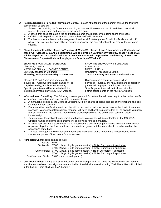- Q. **Policies Regarding Forfeited Tournament Games**: In case of forfeiture of tournament games, the following policies shall be applied:
	- 1. If the school receiving the forfeit made the trip, its fans would have made the trip and the school shall receive its game share and mileage for the forfeited game.
	- 2. A school that does not make a trip and forfeits a game shall not receive a game share or mileage.
	- 3. Officials shall be paid for the forfeited game unless notified in advance.
	- 4. The host school shall receive the per-game stipend for all forfeited games for which officials are paid. If officials are not paid because of being notified in advance, the host school shall not receive the per-game stipend.
- R. **Class 1 sectionals will be played on Tuesday of Week #35; classes 2 and 3 sectionals on Wednesday of Week #35. Classes 1, 2, and 3 quarterfinals will be played on Saturday of Week #35. Class 4 sectionals will be played on Tuesday of Week #36. Class 5 sectionals will be played on Wednesday of Week #36. Classes 4 and 5 quarterfinals will be played on Saturday of Week #36.**

SHOW-ME SHOWDOWN I SCHEDULE SHOW-ME SHOWDOWN II SCHEDULE Classes 1, 2, and 3 Classes 4 and 5 MIZZOU ARENA and HEARNES CENTER<br>
University of Missouri-Columbia 
University of Missouri-Columbia University of Missouri-Columbia<br>Thursday, Friday and Saturday of Week #36

Classes 1, 2, and 3 semifinal games will be Classes 4 and 5 semifinal games will be Specific game times will be included with the Specific game times will be included with the district assignments on the MSHSAA website. district assignments on the MSHSAA website.

**Thursday, Friday and Saturday of Week #36 Thursday, Friday and Saturday of Week #37**

played on Thursday; consolation games will be played on Thursday or Friday; finals and consolation played on Friday and finals on Saturday. games will be played on Friday or Saturday.<br>Specific game times will be included with the

- S. **Information on State Play**: The following is some general information that will be of help to schools that qualify for sectional, quarterfinal and final site state tournament play.
	- 1. A manager, selected by the Board of Directors, will be in charge of each sectional, quarterfinal and final site state tournament session.
	- 2. Each team that qualifies for sectional play will be provided a packet of instructions by the district tournament manager. Your sectional tournament manager will have additional instructions that will be given to you upon arrival. Winners of the sectional round will be provided packets at the end of each session. Open immediately!
	- 3. Game officials for sectional, quarterfinal and final site state games will be contracted by the MSHSAA. Officials' names and game assignments will be provided for site managers.
	- 4. Practice sessions at the tournament site for sectional and quarterfinal games are to be arranged only if an opponent played on the floor in a district or a sectional game, or if the game should be scheduled on the opponent's home floor.
	- 5. The local manager should be contacted about any information that is needed and is not included in the tournament packet of instructions for that session.

#### T. **Admission Charge** (age six and above):

| Districts: \$5.00      |                                                                                        |
|------------------------|----------------------------------------------------------------------------------------|
|                        | Sectionals: \$7.00 (1 boys, 1 girls games session) + Ticket Surcharge, if applicable   |
|                        | \$7.00 (2 boys, 2 girls games session) + Ticket Surcharge, if applicable               |
|                        | Quarterfinals: \$7.00 (1 boys, 1 girls game session) + Ticket Surcharge, if applicable |
|                        | \$7.00 (2 boys, 2 girls games session) + Ticket Surcharge, if applicable               |
| Semifinals and Finals: | \$9.00 per session (6 games)                                                           |

U. **Cell Phone Policy**: During all district, sectional, quarterfinal games in all sports the local tournament manager shall be responsible to post signs outside and inside of each locker room indicating "Cell Phone Use is Prohibited in the Locker Room at all MSHSAA Events."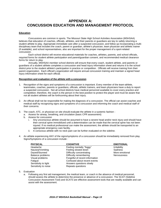## **APPENDIX A: CONCUSSION EDUCATION AND MANAGEMENT PROTOCOL**

#### **Education**

Concussions are common in sports. The Missouri State High School Activities Association (MSHSAA) believes that education of coaches, officials, athletes, and their parents or guardians are key to safely returning a student athlete to play. Appropriate immediate care after a suspected concussion, and follow up incorporating a multidisciplinary team that includes the coach, parent or guardian, athlete's physician, team physician and athletic trainer (if available), and school representatives, also are important for the proper management of a sport-related concussion.

Each school district will receive educational materials for coaches, athletes, parents, and school officials, required forms for student athlete participation and parent/guardian consent, and recommended medical clearance forms for return to play.

Annually, MSHSAA member school districts will ensure that every coach, student athlete, and parents or guardians of a student athlete completes a concussion and head injury information sheet and returns it to the school district prior to the student athlete's participation in practice or competition. Officials will receive training from their parent organization. Each official's organization will require annual concussion training and maintain a signed head injury information sheet for each official.

#### **Recognition and evaluation of the athlete with a concussion**

- 1. Recognition of the signs and symptoms of a concussion is important. Every member of the team-athlete, teammates, coaches, parents or guardians, officials, athletic trainers, and team physicians have a duty to report a suspected concussion. Not all school districts have medical personnel available to cover every practice and competition; therefore, the coach is the person in the best position to protect the player and must be aware that not all student athletes will be forthcoming about their injury.
- 2. An official shall not be responsible for making the diagnosis of a concussion. The official can assist coaches and medical staff by recognizing signs and symptoms of a concussion and informing the coach and medical staff of their concerns.
- 3. The coach, ATC, or physician on site should evaluate the athlete in a systemic fashion :
	- a. Assess for airway, breathing, and circulation (basic CPR assessment)
	- b. Assess for concussion
		- i. Any unconscious athlete should be assumed to have a severe head and/or neck injury and should have their cervical spine immobilized until a determination can be made that the cervical spine has not been injured. If no medical professional can make the assessment, the athlete should be transported to an appropriate emergency care facility.
		- ii. A conscious athlete with no neck pain can be further evaluated on the sideline.
- 4. An athlete experiencing ANY of the signs/symptoms of a concussion should be immediately removed from play. Signs/Symptoms of a concussion include :

| <b>PHYSICAL</b>      | <b>COGNITIVE</b>                | <b>EMOTIONAL</b>   |
|----------------------|---------------------------------|--------------------|
| Headache             | Feeling mentally "foggy"        | Irritability       |
| Nausea/Vomiting      | Feeling slowed down             | Sadness            |
| Dazed/Stunned        | Difficulty concentrating        | More emotional     |
| Balance problems     | Difficulty remembering          | <b>Nervousness</b> |
| Visual problems      | Forgetful of recent information |                    |
| Fatigue              | Confused about recent events    |                    |
| Sensitivity to light | Answers questions slowly        |                    |
| Sensitivity to noise | Repeats questions               |                    |

5. Evaluation

a. Following any first aid management, the medical team, or coach in the absence of medical personnel, should assess the athlete to determine the presence or absence of a concussion. The SCAT (Sideline Concussion Assessment Tool) and SCAT3 are effective assessment tools that are readily available and can assist with the assessment.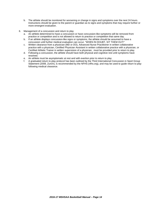- b. The athlete should be monitored for worsening or change in signs and symptoms over the next 24 hours. Instructions should be given to the parent or guardian as to signs and symptoms that may require further or more emergent evaluation.
- 6. Management of a concussion and return to play
	- a. An athlete determined to have a concussion or have concussion-like symptoms will be removed from practice or competition and is not allowed to return to practice or competition that same day.
	- b. If an athlete displays concussion-like signs or symptoms, the athlete should be assumed to have a concussion until further medical evaluation can occur. "WHEN IN DOUBT, SIT THEM OUT!"
	- c. Written clearance from a physician (MD or DO), Advanced Nurse Practitioner in written collaborative practice with a physician, Certified Physician Assistant in written collaborative practice with a physician, or Certified Athletic Trainer in written supervision of a physician, must be provided prior to return to play.
	- d. Following a concussion, the athlete should have both physical and cognitive rest until symptoms have resolved.
	- e. An athlete must be asymptomatic at rest and with exertion prior to return to play
	- f. A graduated return to play protocol has been outlined by the Third International Concussion in Sport Group Statement (2008, Zurich), is recommended by the NFHS (nfhs.org), and may be used to guide return to play following medical clearance.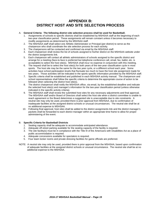## **APPENDIX B: DISTRICT HOST AND SITE SELECTION PROCESS**

#### A. **General Criteria: The following district site selection process shall be used for Basketball.**

- 1. Assignments of schools to specific districts shall be established by MSHSAA staff at the beginning of each two-year classification period. These assignments will remain constant unless it becomes necessary to modify assignments as determined by the MSHSAA staff.
- 2. The MSHSAA staff shall select one Athletic Administrator or Principal (per district) to serve as the chairperson who shall coordinate the site selection process for each activity.
- 3. The chairpersons will be contacted and confirmed via email by the MSHSAA staff.
- 4. Each chairperson shall review the list of schools assigned to his/her district on the MSHSAA website under the district assignments link.
- 5. Each chairperson will contact all athletic administrators of schools assigned to the specific district and arrange for a meeting (face-to-face is preferred but telephone conference call, email, fax, ballot, etc. is acceptable) to select the host site(s). MSHSAA shall incur no expense in conjunction with this meeting.
- 6. The request shall be to select the host site(s) for both years of the two-year classification cycle in most sports. The host site may be the same for the two year cycle, or a different school each year. Some activities have school participation levels that fluctuate too much to have the host site assignment made for two years. Those activities will be indicated in the sports specific information provided by the MSHSAA staff.
- 7. Specific criteria shall be established and published in each MSHSAA activity manual. The chairperson and school representatives shall follow the specific criteria to determine the appropriate course of action to be followed when selecting the district host site(s).
- 8. The district chairperson shall notify the MSHSAA office, via email, by the established deadline and indicate the selected host site(s) and manager's information for the two-year classification period (unless otherwise indicated in the specific activity criteria).
- 9. The MSHSAA staff shall review the submitted host sites for any necessary adjustments and final approval. The MSHSAA staff and/or Board of Directors shall select the host site when a district committee is unable to reach agreement or the Board determines a suggested site is unacceptable due to site constraints. A neutral site may only be used, provided there is prior approval from MSHSAA, due to confirmation of inadequate facilities at the assigned district schools or unusual circumstances. The neutral site shall be at no additional expense to MSHSAA.
- 10. Following final approval, host sites shall be added to the district assignments link and the district manager's packets shall be forwarded to each district manager within an appropriate time frame to allow for proper administering of the event.

#### B. **Specific Criteria for Basketball Districts**

- 1. Seating capacity shall be adequate to accommodate anticipated attendance.
- 2. Adequate off-street parking available for the seating capacity of the facility is required.
- 3. The site facility(s) must be in compliance with the Title III of the Americans with Disabilities Act as a place of public accommodation is required.
- 4. Adequate concessions available for spectators is required.
- 5. Four team locker rooms and private dressing facilities for game officials are preferred.
- NOTE: A neutral site may only be used, provided there is prior approval from the MSHSAA, based upon confirmation of adequate facilities at the assigned district schools or unusual circumstance. The neutral site shall be at no additional expense to the MSHSAA.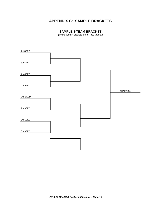# **APPENDIX C: SAMPLE BRACKETS**

### **SAMPLE 8-TEAM BRACKET**

(To be used in districts of 8 or less teams.)

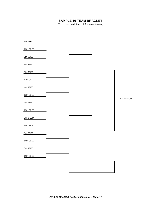## **SAMPLE 16-TEAM BRACKET**

(To be used in districts of 9 or more teams.)

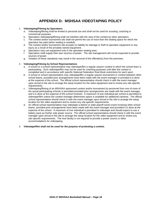# **APPENDIX D: MSHSAA VIDEOTAPING POLICY**

#### 1. **Videotaping/Filming by Spectators**

- a. Videotaping/filming shall be limited to personal use and shall not be used for scouting, coaching or commercial purposes.
- b. Spectators videotaping/filming shall not interfere with the view of the contest by other spectators.
- c. The contest and/or tournament site shall not permit the use of more than the seating space for which the spectator has paid (when seating is needed).
- d. The contest and/or tournament site accepts no liability for damage or theft of spectator equipment or any injury as a result of the privately owned equipment.
- e. Spectators may use equipment only in the spectator seating area.
- f. Spectators shall supply their own sources of power. The site management will not be expected to provide sources of power.
- g. Violation of these standards may result in the removal of the offender(s) from the premises.

#### 2. **Videotaping/Filming by School Representatives**

- a. A school or a school representative may videotape/film a regular season contest in which the school team is participating. Such videotape/film may not be used for coaching purposes until after the contest is completed and in accordance with specific National Federation Rule Book restrictions for each sport.
- b. A school or school representative may videotape/film a regular season tournament or contest between other school teams, provided prior arrangements have been made with the event manager or provided it is done at the expense of the school. The official school representative should check in with the event manager upon arrival to the site to arrange the setup location for the video equipment and to review any site-specific requirements.
- c. Videotaping/filming of an MSHSAA sponsored contest and/or tournament by personnel from one of more of the actual participating schools is permitted provided prior arrangements are made with the event manager, and it is done at the expense of the school involved. A maximum of one individual per school is permitted to videotape/film unless the contest manager determines space is available for additional cameras. The official school representative should check in with the event manager upon arrival to the site to arrange the setup location for the video equipment and to review any site-specific requirements.
- d. An official school representative may videotape a district or state playoff series event involving other school teams, provided prior arrangements have been made with the event manager and provided it is done at the expense of the school. A maximum of one individual is permitted to videotape and should expect to use a battery pack as his/her sole power source. The official school representative should check in with the event manager upon arrival to the site to arrange the setup location for the video equipment and to review any site-specific requirements. The host facility is not required to provide a power source or other accommodations for videotaping.

#### 3. **Videotape/film shall not be used for the purpose of protesting a contest.**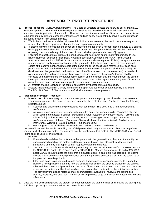## **APPENDIX E: PROTEST PROCEDURE**

- 1. **Protest Procedure** (MSHSAA Board Policy): The Board of Directors adopted the following policy, March 1997, to address protests. The Board acknowledges that mistakes are made by officials in judgment and even sometimes in misapplication of game rules. However, the decisions rendered by officials at the contest site are to be final and any further process other than the one outlined below would not truly serve a useful purpose in the overall scope of high school athletics.
	- a. Within the procedures established within each individual sport rule code, the head coach must request a review of an official's application of a rule through appropriate channels.
	- b. If, after the review is complete, the coach still believes there has been a misapplication of a rule by a contest official(s), the coach shall then file a formal verbal protest with the game officials who will then notify the opposing coach immediately of the protest. A coach shall not protest a decision of judgment.
	- c. Following this notification of protest, the head coach shall be allowed approximately ten minutes to use his/her National Federation Rules Book, National Federation Case Book, MSHSAA Rules Meeting Announcements and/or MSHSAA Sport Manual to locate and show the game official(s) the appropriate rule reference which clarifies a misapplication of the game rule. If the head coach does not have personal copies of the above mentioned materials at the game site or the specific rule reference(s) or case book play(s) cannot be located within the maximum allowable ten minutes, the protest shall automatically be disallowed and the game shall continue from the point of interruption. If a rule reference(s) or case book play(s) is found that indicates a misapplication of a rule has occurred, the official's decision shall be corrected at that time before any further action occurs, and the contest shall be resumed from the point of interruption after the correction as provided in the contest rules. When appropriate, the game officials may assist the head coach in locating appropriate rule and case book references.
	- d. All protests shall be resolved at the contest site before any further game action occurs.
	- e. Protests that are not filed in a timely manner by that sport rule code shall be automatically disallowed.<br>f. The MSHSAA Board of Directors and/or staff shall not review contest protests.
	- The MSHSAA Board of Directors and/or staff shall not review contest protests.

#### 2. **Application of Protest Procedure**

- a. **Introduction**: Protests rarely occur and the new protest procedure policy is not intended to increase the frequency of protests. It is however, intended to resolve the protest on site. For this to occur the following must take place:
	- i. Coaches and officials must be professional with each other. This should be a non-confrontational conference.
	- ii. As stated above, protests involve application of rules only not judgment calls. (Examples of items which could be protested: Football – penalizing 5 yards instead of 15 yards; Wrestling – allowing one minute for injury time instead of two minutes; Softball – allowing only two charged defensive conferences instead of three.) (Examples of items which could not be protested: Football – pass interference; Wrestling – stalling; Softball – out or safe calls.)
	- iii. **Get It Right!** If the official has made a mistake admit it, correct it and move on.

Contest officials and the head coach filing the official protest shall notify the MSHSAA Office in writing of any contest in which an official protest has occurred and the resolution of that protest. The MSHSAA Special Report Forms shall be used for this purpose.

- b. **Process**
	- i. Once a head coach has filed a formal verbal protest with the game officials, they shall then notify the opposing head coach of the protest and the playing field, court, mat, etc. shall be cleared of all participants and they shall report to their respective team bench areas.
	- ii. The head coach shall then be allowed approximately ten minutes to locate specific rule references from the NFHS Rules Book, NFHS Case Book, MSHSAA Rules Meeting Announcements and/or MSHSAA Sport Manual to substantiate the claim that a misapplication of a game rule has occurred. The game officials shall also confer among themselves during the period to address the claim of the coach as to the potential rule misapplication.
	- iii. If the head coach is able to produce rule evidence from the above mentioned sources to support the claim of a misapplication of a game rule, the officials shall correct the error as provided in the contest rules and the contest shall proceed from the point of interruption. If the head coach cannot produce the evidence, the protest shall be disallowed and the contest shall continue from the point of interruption. The previously mentioned materials must be immediately available for review at the playing field sideline, courtside, mat side, etc. (Time shall not be provided to go to a locker room, team bus, coach's office, etc.)
- 3. Once the final decision regarding the protest has been rendered, the game officials shall provide the participants sufficient opportunity to warm-up before the contest is resumed.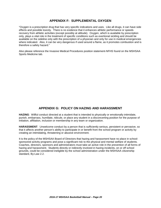### **APPENDIX F: SUPPLEMENTAL OXYGEN**

"Oxygen is a prescription drug that has very specific indications and uses. Like all drugs, it can have side effects and possible toxicity. There is no evidence that it enhances athletic performance or speeds recovery from athletic activities (except possibly at altitude). Oxygen, which is available by prescription only, plays a vital role in the treatment of specific conditions such as exertional sickling and should be available on the sideline only with the prescription of a physician and only for use in medical emergencies where indicated. Also, it can be very dangerous if used around a flame, as it promotes combustion and is therefore a safety hazard."

Also please reference the Invasive Medical Procedures position statement-NFHS found on the MSHSAA Sports Medicine tab.

### **APPENDIX G: POLICY ON HAZING AND HARASSMENT**

**HAZING**: Willful conduct directed at a student that is intended to physically or emotionally intimidate, punish, embarrass, humiliate, ridicule, or place any student in a disconcerting position for the purpose of initiation, affiliation, inclusion or membership in any team or organization.

**HARASSMENT**: Unwelcome conduct by a person that is sufficiently serious, persistent or pervasive, so that it affects another person's ability to participate in or benefit from the school program or activity by creating an intimidating, threatening or abusive environment.

It is the policy of the MSHSAA Board of Directors that hazing and harassment have no place in schoolsponsored activity programs and pose a significant risk to the physical and mental welfare of students. Coaches, directors, sponsors and administrators must take an active role in the prevention of all forms of hazing and harassment. Students directly or indirectly involved in hazing incidents, on or off school grounds, could be considered ineligible by the school administration under the MSHSAA citizenship standard, By-Law 2.2.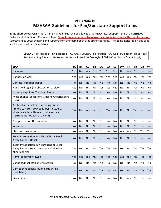# **APPENDIX H: MSHSAA Guidelines for Fan/Spectator Support Items**

In the chart below, **ONLY** those items marked **"Yes"** will be allowed as fan/spectator support items at all MSHSAA District and State Series Championships. **Schools are encouraged to follow these guidelines during the regular season.** Sportsmanlike vocal cheering and support from the team bench area are encouraged. The items indicated on this page are for use by all fans/spectators.

> **LEGEND:** BA-Baseball BK-Basketball CC Cross Country FB-Football GO-Golf SO-Soccer SB-Softball SW-Swimming & Diving TN-Tennis TR-Track & Field VB-Volleyball WR-Wrestling NA-Not Apply

| <b>SPORT</b>                                                                                                                                                                 | <b>BA</b> | <b>BK</b> | <b>CC</b> | <b>FB</b> | GO             | <b>SO</b> | <b>SB</b> | <b>SW</b>      | <b>TN</b> | <b>TR</b>      | VB        | WR        |
|------------------------------------------------------------------------------------------------------------------------------------------------------------------------------|-----------|-----------|-----------|-----------|----------------|-----------|-----------|----------------|-----------|----------------|-----------|-----------|
| <b>Balloons</b>                                                                                                                                                              | Yes       | <b>No</b> | Yes       | Yes       | Yes            | Yes       | Yes       | <b>No</b>      | Yes       | Yes            | <b>No</b> | <b>No</b> |
| Banners on wall                                                                                                                                                              | Yes       | Yes       | Yes       | Yes       | Yes            | Yes       | Yes       | Yes            | Yes       | Yes            | Yes       | Yes       |
| Confetti/shredded paper                                                                                                                                                      | <b>No</b> | <b>No</b> | <b>No</b> | <b>No</b> | <b>No</b>      | <b>No</b> | <b>No</b> | <b>No</b>      | <b>No</b> | <b>No</b>      | <b>No</b> | <b>No</b> |
| Hand held signs (no obstruction of view)                                                                                                                                     | Yes       | <b>No</b> | Yes       | Yes       | Yes            | Yes       | Yes       | No             | Yes       | Yes            | No        | <b>No</b> |
| Laser light/pointer/flashing objects                                                                                                                                         | <b>No</b> | <b>No</b> | <b>No</b> | <b>No</b> | <b>No</b>      | <b>No</b> | <b>No</b> | <b>No</b>      | <b>No</b> | <b>No</b>      | <b>No</b> | <b>No</b> |
| Megaphones (Exception: Sideline Cheerleaders<br>only)                                                                                                                        | <b>No</b> | <b>No</b> | <b>No</b> | <b>No</b> | N <sub>o</sub> | No        | <b>No</b> | N <sub>O</sub> | <b>No</b> | <b>No</b>      | Nο        | <b>No</b> |
| Artificial noisemakers, (including but not<br>limited to horns, cow bells, bells, buzzers,<br>shakers, clickers, thunder sticks, rattles,<br>instruments not part of a band) | Yes       | <b>No</b> | Yes       | Yes       | <b>No</b>      | Yes       | Yes       | <b>No</b>      | <b>No</b> | Yes            | <b>No</b> | <b>No</b> |
| Compressed Air Horns/sirens                                                                                                                                                  | No        | No        | No        | No        | No             | <b>No</b> | No        | No             | No        | No             | <b>No</b> | No        |
| Whistles                                                                                                                                                                     | <b>No</b> | <b>No</b> | <b>No</b> | <b>No</b> | <b>No</b>      | <b>No</b> | <b>No</b> | <b>No</b>      | <b>No</b> | <b>No</b>      | <b>No</b> | <b>No</b> |
| Shirts on fans (required)                                                                                                                                                    | No        | Yes       | No        | No        | No             | <b>No</b> | No        | Yes            | Yes       | N <sub>o</sub> | Yes       | Yes       |
| Team Introduction Run-Throughs or Break<br>Away Banners (fans)                                                                                                               | <b>No</b> | <b>No</b> | <b>No</b> | <b>No</b> | <b>No</b>      | <b>No</b> | <b>No</b> | <b>No</b>      | <b>No</b> | <b>No</b>      | <b>No</b> | <b>No</b> |
| Team Introduction Run-Throughs or Break<br>Away Banners (team personnel & sideline<br>cheerleaders)                                                                          | Yes       | Yes       | Yes       | Yes       | Yes            | Yes       | Yes       | Yes            | Yes       | Yes            | Yes       | Yes       |
| Poms, spirit/rally towels                                                                                                                                                    | Yes       | Yes       | Yes       | Yes       | Yes            | Yes       | Yes       | Yes            | Yes       | Yes            | Yes       | Yes       |
| Cannons/muskets/guns/fireworks                                                                                                                                               | No        | No        | No        | No        | No             | No        | No.       | No             | No        | No             | No        | No        |
| Carried school flags (Running/taunting<br>prohibited)                                                                                                                        | Yes       | Yes       | Yes       | Yes       | Yes            | Yes       | Yes       | Yes            | Yes       | Yes            | Yes       | Yes       |
| Live animals                                                                                                                                                                 | No        | <b>No</b> | No        | No        | No             | No        | <b>No</b> | No             | Yes       | No             | No        | No        |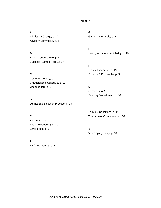## **INDEX**

Admission Charge, p. 12 Game Timing Rule, p. 4 Advisory Committee, p. 2

Bench Conduct Rule, p. 5 Brackets (Sample), pp. 16-17

**C** Purpose & Philosophy, p. 3 Cell Phone Policy, p. 12 Championship Schedule, p. 12 Cheerleaders, p. 8 **S**

**D** District Site Selection Process, p. 15

# Ejections, p. 5 Entry Procedure, pp. 7-9 Enrollments, p. 6 **V**

**F** Forfeited Games, p. 12

**A G**

**H B** Hazing & Harassment Policy, p. 20

> **P** Protest Procedure, p. 19

Sanctions, p. 5 Seeding Procedures, pp. 8-9

**T** Terms & Conditions, p. 11 **E** Tournament Committee, pp. 8-9

Videotaping Policy, p. 18